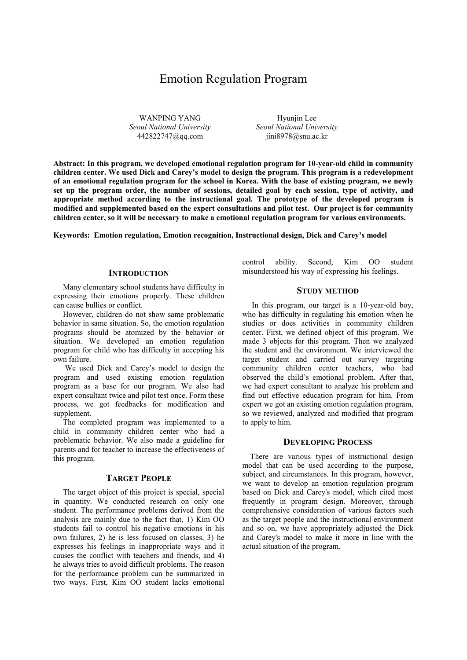# Emotion Regulation Program

WANPING YANG *Seoul National University* 442822747@qq.com

Hyunjin Lee *Seoul National University* jini8978@snu.ac.kr

**Abstract: In this program, we developed emotional regulation program for 10-year-old child in community children center. We used Dick and Carey's model to design the program. This program is a redevelopment of an emotional regulation program for the school in Korea. With the base of existing program, we newly set up the program order, the number of sessions, detailed goal by each session, type of activity, and appropriate method according to the instructional goal. The prototype of the developed program is modified and supplemented based on the expert consultations and pilot test. Our project is for community children center, so it will be necessary to make a emotional regulation program for various environments.**

**Keywords: Emotion regulation, Emotion recognition, Instructional design, Dick and Carey's model**

### **INTRODUCTION**

Many elementary school students have difficulty in expressing their emotions properly. These children can cause bullies or conflict.

However, children do not show same problematic behavior in same situation. So, the emotion regulation programs should be atomized by the behavior or situation. We developed an emotion regulation program for child who has difficulty in accepting his own failure.

 We used Dick and Carey's model to design the program and used existing emotion regulation program as a base for our program. We also had expert consultant twice and pilot test once. Form these process, we got feedbacks for modification and supplement.

The completed program was implemented to a child in community children center who had a problematic behavior. We also made a guideline for parents and for teacher to increase the effectiveness of this program.

# **TARGET PEOPLE**

The target object of this project is special, special in quantity. We conducted research on only one student. The performance problems derived from the analysis are mainly due to the fact that, 1) Kim OO students fail to control his negative emotions in his own failures, 2) he is less focused on classes, 3) he expresses his feelings in inappropriate ways and it causes the conflict with teachers and friends, and 4) he always tries to avoid difficult problems. The reason for the performance problem can be summarized in two ways. First, Kim OO student lacks emotional

control ability. Second, Kim OO student misunderstood his way of expressing his feelings.

# **STUDY METHOD**

In this program, our target is a 10-year-old boy, who has difficulty in regulating his emotion when he studies or does activities in community children center. First, we defined object of this program. We made 3 objects for this program. Then we analyzed the student and the environment. We interviewed the target student and carried out survey targeting community children center teachers, who had observed the child's emotional problem. After that, we had expert consultant to analyze his problem and find out effective education program for him. From expert we got an existing emotion regulation program, so we reviewed, analyzed and modified that program to apply to him.

#### **DEVELOPING PROCESS**

There are various types of instructional design model that can be used according to the purpose, subject, and circumstances. In this program, however, we want to develop an emotion regulation program based on Dick and Carey's model, which cited most frequently in program design. Moreover, through comprehensive consideration of various factors such as the target people and the instructional environment and so on, we have appropriately adjusted the Dick and Carey's model to make it more in line with the actual situation of the program.